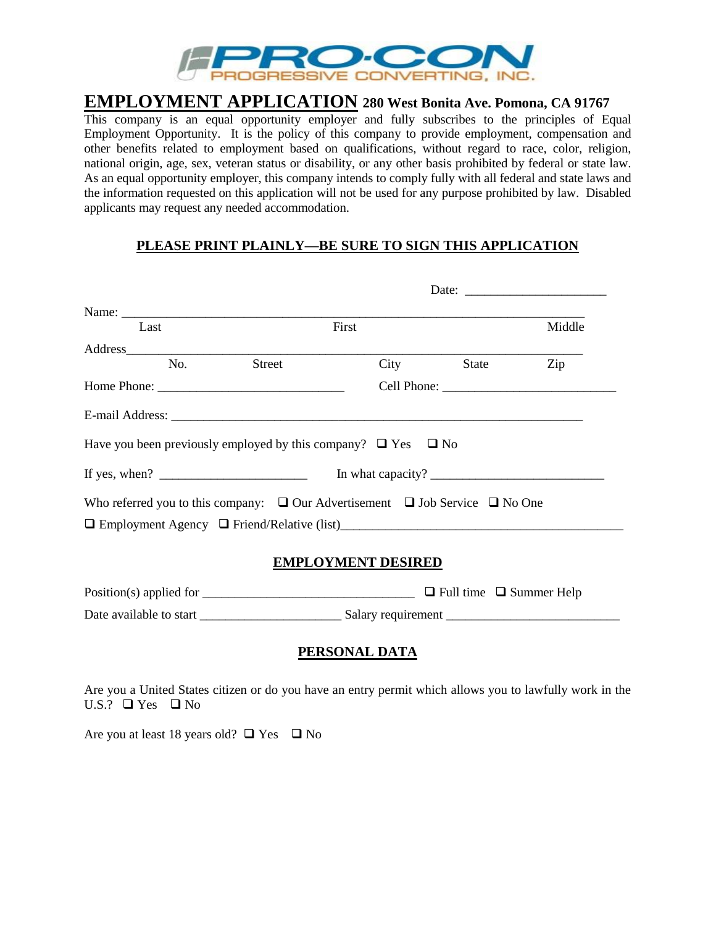

# **EMPLOYMENT APPLICATION 280 West Bonita Ave. Pomona, CA 91767**

This company is an equal opportunity employer and fully subscribes to the principles of Equal Employment Opportunity. It is the policy of this company to provide employment, compensation and other benefits related to employment based on qualifications, without regard to race, color, religion, national origin, age, sex, veteran status or disability, or any other basis prohibited by federal or state law. As an equal opportunity employer, this company intends to comply fully with all federal and state laws and the information requested on this application will not be used for any purpose prohibited by law. Disabled applicants may request any needed accommodation.

#### **PLEASE PRINT PLAINLY—BE SURE TO SIGN THIS APPLICATION**

|                                                                                                                                                                                                                                                                                                           | Date: $\frac{1}{\sqrt{1-\frac{1}{2}} \cdot \frac{1}{2}}$ |       |            |        |
|-----------------------------------------------------------------------------------------------------------------------------------------------------------------------------------------------------------------------------------------------------------------------------------------------------------|----------------------------------------------------------|-------|------------|--------|
| Name: $\frac{1}{2}$                                                                                                                                                                                                                                                                                       |                                                          |       |            |        |
| Last                                                                                                                                                                                                                                                                                                      |                                                          | First |            | Middle |
|                                                                                                                                                                                                                                                                                                           |                                                          |       |            |        |
| No.                                                                                                                                                                                                                                                                                                       | Street                                                   |       | City State | Zip    |
|                                                                                                                                                                                                                                                                                                           |                                                          |       |            |        |
| E-mail Address: the contract of the contract of the contract of the contract of the contract of the contract of the contract of the contract of the contract of the contract of the contract of the contract of the contract o<br>Have you been previously employed by this company? $\Box$ Yes $\Box$ No |                                                          |       |            |        |
| If yes, when? $\frac{1}{\sqrt{1-\frac{1}{2}} \cdot \frac{1}{2}}$                                                                                                                                                                                                                                          |                                                          |       |            |        |
| Who referred you to this company: $\Box$ Our Advertisement $\Box$ Job Service $\Box$ No One<br>□ Employment Agency □ Friend/Relative (list)                                                                                                                                                               |                                                          |       |            |        |

#### **EMPLOYMENT DESIRED**

Position(s) applied for  $\Box$  Full time  $\Box$  Summer Help Date available to start \_\_\_\_\_\_\_\_\_\_\_\_\_\_\_\_\_\_\_\_\_\_ Salary requirement \_\_\_\_\_\_\_\_\_\_\_\_\_\_\_\_\_\_\_\_\_\_\_\_\_\_\_

#### **PERSONAL DATA**

Are you a United States citizen or do you have an entry permit which allows you to lawfully work in the U.S.?  $\Box$  Yes  $\Box$  No

Are you at least 18 years old?  $\Box$  Yes  $\Box$  No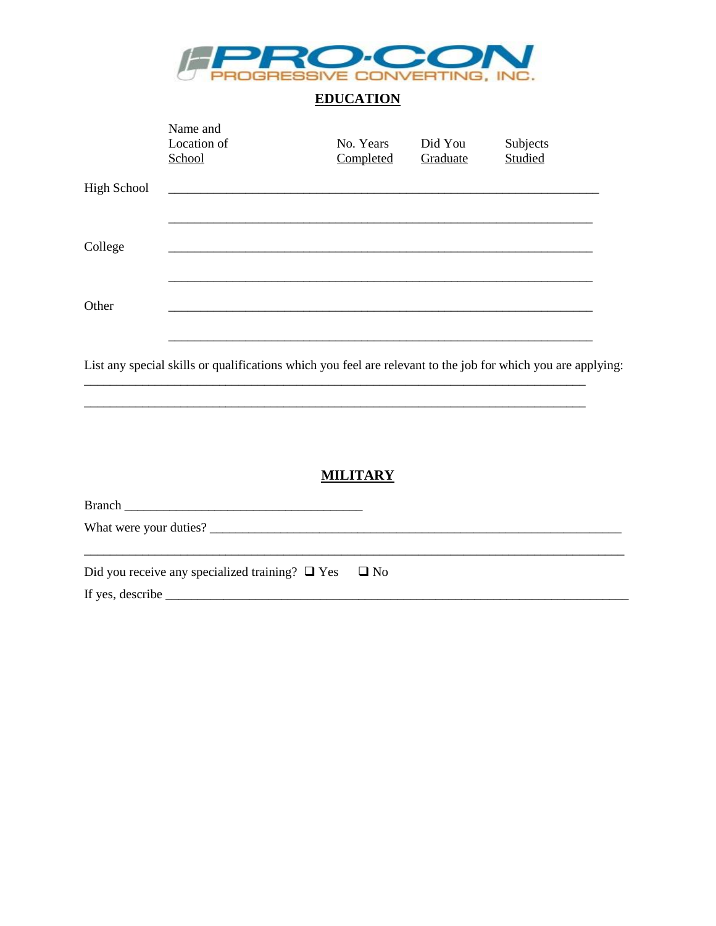

# **EDUCATION**

|                    | Name and<br>Location of<br>School                                                                            | No. Years<br>Completed | Did You<br>Graduate | Subjects<br>Studied |
|--------------------|--------------------------------------------------------------------------------------------------------------|------------------------|---------------------|---------------------|
| <b>High School</b> |                                                                                                              |                        |                     |                     |
| College            |                                                                                                              |                        |                     |                     |
| Other              |                                                                                                              |                        |                     |                     |
|                    | List any special skills or qualifications which you feel are relevant to the job for which you are applying: |                        |                     |                     |

#### **MILITARY**

| Did you receive any specialized training? $\Box$ Yes $\Box$ No |  |
|----------------------------------------------------------------|--|
|                                                                |  |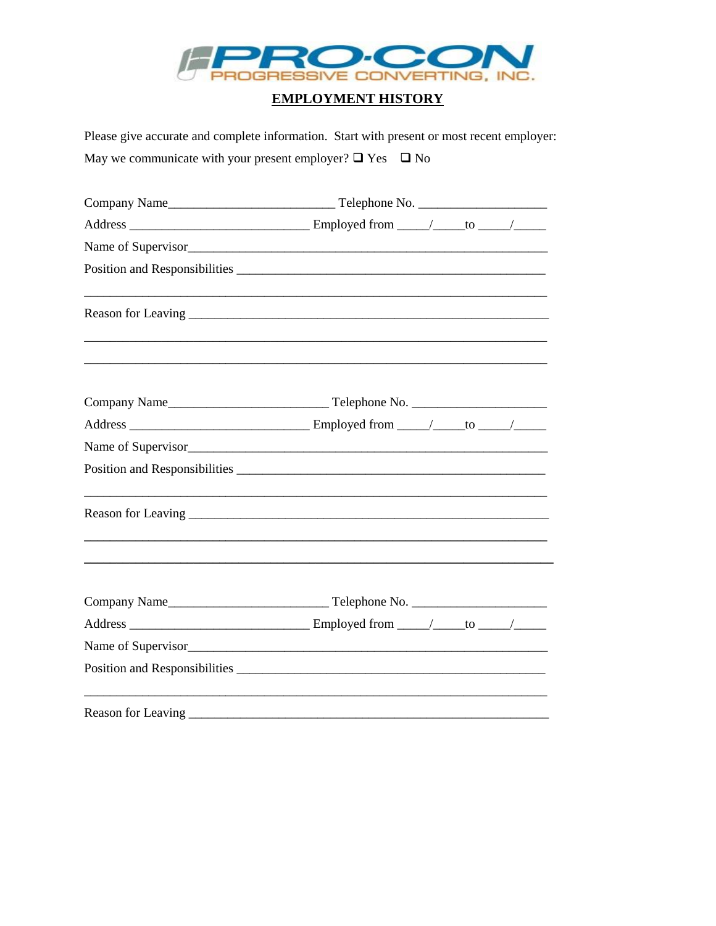

### **EMPLOYMENT HISTORY**

Please give accurate and complete information. Start with present or most recent employer: May we communicate with your present employer?  $\Box$  Yes  $\Box$  No

| <u> 1989 - Johann Stoff, deutscher Stoff, der Stoff, der Stoff, der Stoff, der Stoff, der Stoff, der Stoff, der S</u> |  |  |  |
|-----------------------------------------------------------------------------------------------------------------------|--|--|--|
|                                                                                                                       |  |  |  |
|                                                                                                                       |  |  |  |
|                                                                                                                       |  |  |  |
|                                                                                                                       |  |  |  |
|                                                                                                                       |  |  |  |
|                                                                                                                       |  |  |  |
|                                                                                                                       |  |  |  |
|                                                                                                                       |  |  |  |
|                                                                                                                       |  |  |  |
| Name of Supervisor                                                                                                    |  |  |  |
|                                                                                                                       |  |  |  |
|                                                                                                                       |  |  |  |